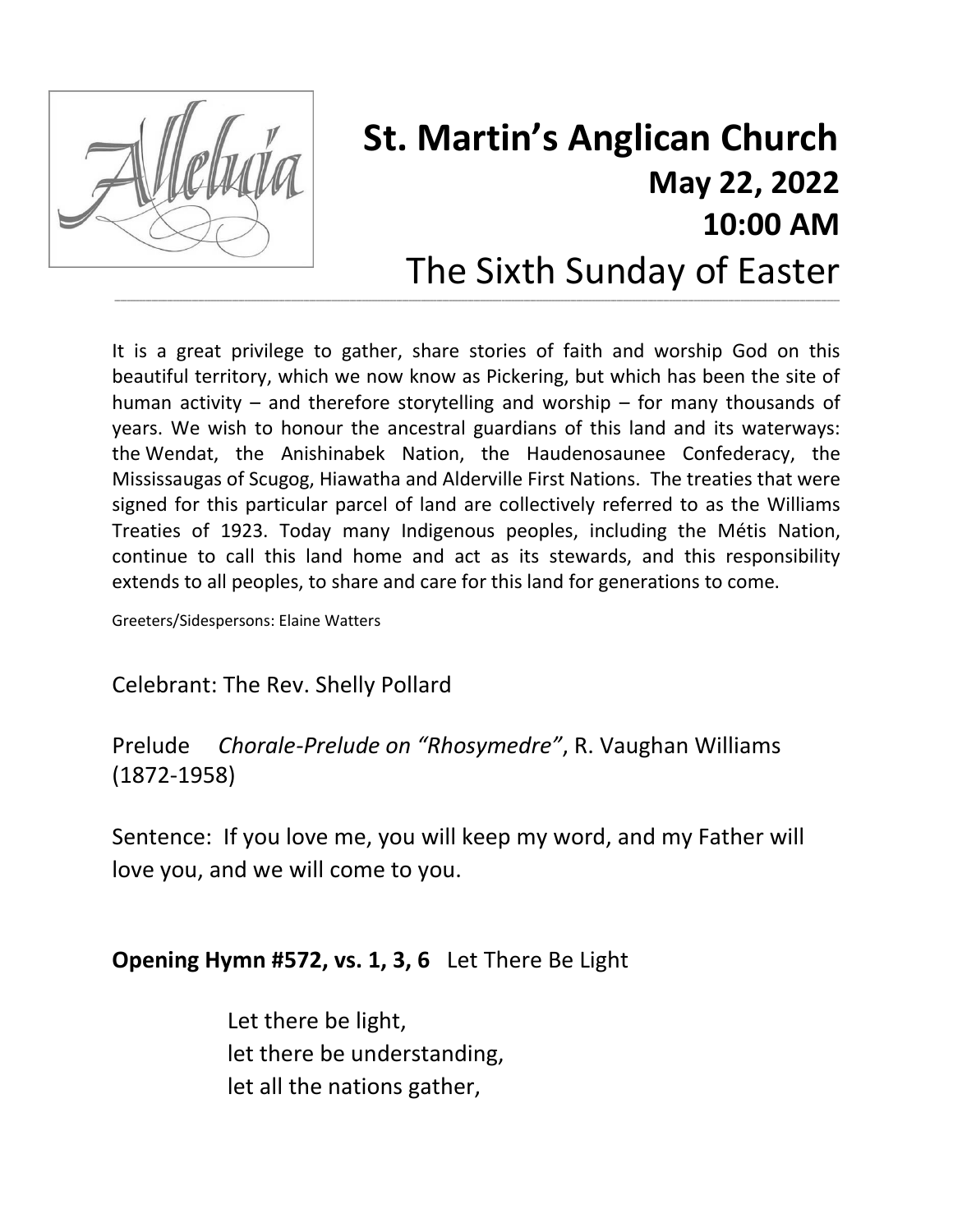# **St. Martin's Anglican Church May 22, 2022 10:00 AM** The Sixth Sunday of Easter

It is a great privilege to gather, share stories of faith and worship God on this beautiful territory, which we now know as Pickering, but which has been the site of human activity – and therefore storytelling and worship – for many thousands of years. We wish to honour the ancestral guardians of this land and its waterways: the Wendat, the Anishinabek Nation, the Haudenosaunee Confederacy, the Mississaugas of Scugog, Hiawatha and Alderville First Nations. The treaties that were signed for this particular parcel of land are collectively referred to as the Williams Treaties of 1923. Today many Indigenous peoples, including the Métis Nation, continue to call this land home and act as its stewards, and this responsibility extends to all peoples, to share and care for this land for generations to come.

**\_\_\_\_\_\_\_\_\_\_\_\_\_\_\_\_\_\_\_\_\_\_\_\_\_\_\_\_\_\_\_\_\_\_\_\_\_\_\_\_\_\_\_\_\_\_\_\_\_\_\_\_\_\_\_\_\_\_\_\_\_\_\_\_\_\_\_\_\_\_\_\_\_\_\_\_\_\_\_\_\_\_\_\_\_\_\_\_\_\_\_\_\_\_\_\_\_\_\_\_\_\_\_\_\_\_\_\_\_\_\_\_\_\_\_\_\_\_\_\_\_\_\_\_\_\_\_\_\_\_\_\_\_\_\_\_\_\_\_\_\_\_\_\_\_\_\_\_\_\_\_\_\_\_\_\_\_\_\_\_\_\_\_\_\_\_\_\_\_\_\_\_\_\_\_\_\_\_\_\_\_\_\_\_\_\_\_\_\_\_\_\_\_\_\_\_\_\_\_\_\_\_\_\_\_\_\_\_\_\_\_\_\_\_\_\_\_\_\_\_\_\_\_\_\_\_\_\_\_\_\_\_\_\_**

Greeters/Sidespersons: Elaine Watters

Celebrant: The Rev. Shelly Pollard

Prelude *Chorale-Prelude on "Rhosymedre"*, R. Vaughan Williams (1872-1958)

Sentence: If you love me, you will keep my word, and my Father will love you, and we will come to you.

#### **Opening Hymn #572, vs. 1, 3, 6** Let There Be Light

Let there be light, let there be understanding, let all the nations gather,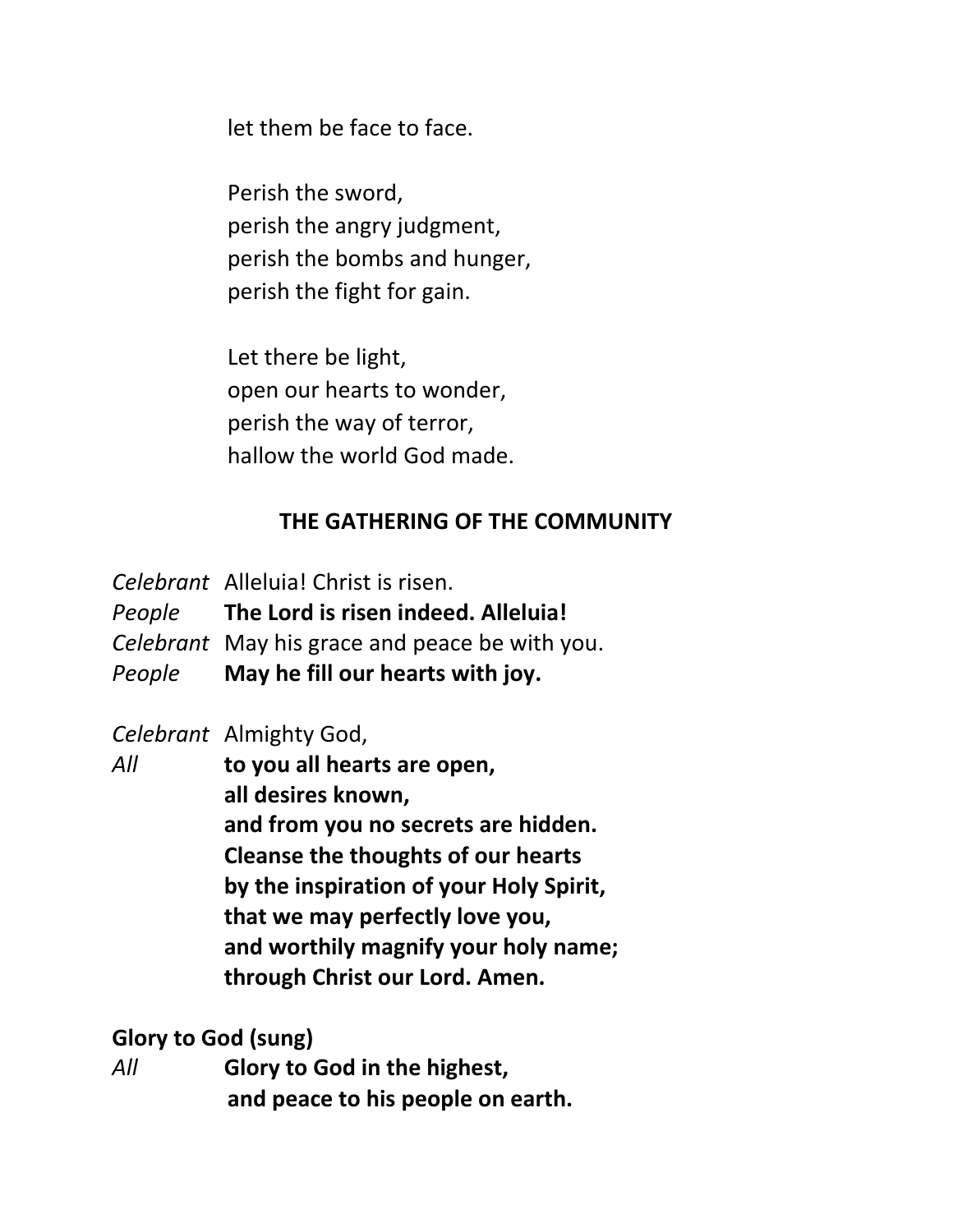let them be face to face.

Perish the sword, perish the angry judgment, perish the bombs and hunger, perish the fight for gain.

Let there be light, open our hearts to wonder, perish the way of terror, hallow the world God made.

#### **THE GATHERING OF THE COMMUNITY**

- *Celebrant* Alleluia! Christ is risen.
- *People* **The Lord is risen indeed. Alleluia!**
- *Celebrant* May his grace and peace be with you.
- *People* **May he fill our hearts with joy.**

*Celebrant* Almighty God,

*All* **to you all hearts are open, all desires known, and from you no secrets are hidden. Cleanse the thoughts of our hearts by the inspiration of your Holy Spirit, that we may perfectly love you, and worthily magnify your holy name; through Christ our Lord. Amen.**

#### **Glory to God (sung)**

*All* **Glory to God in the highest, and peace to his people on earth.**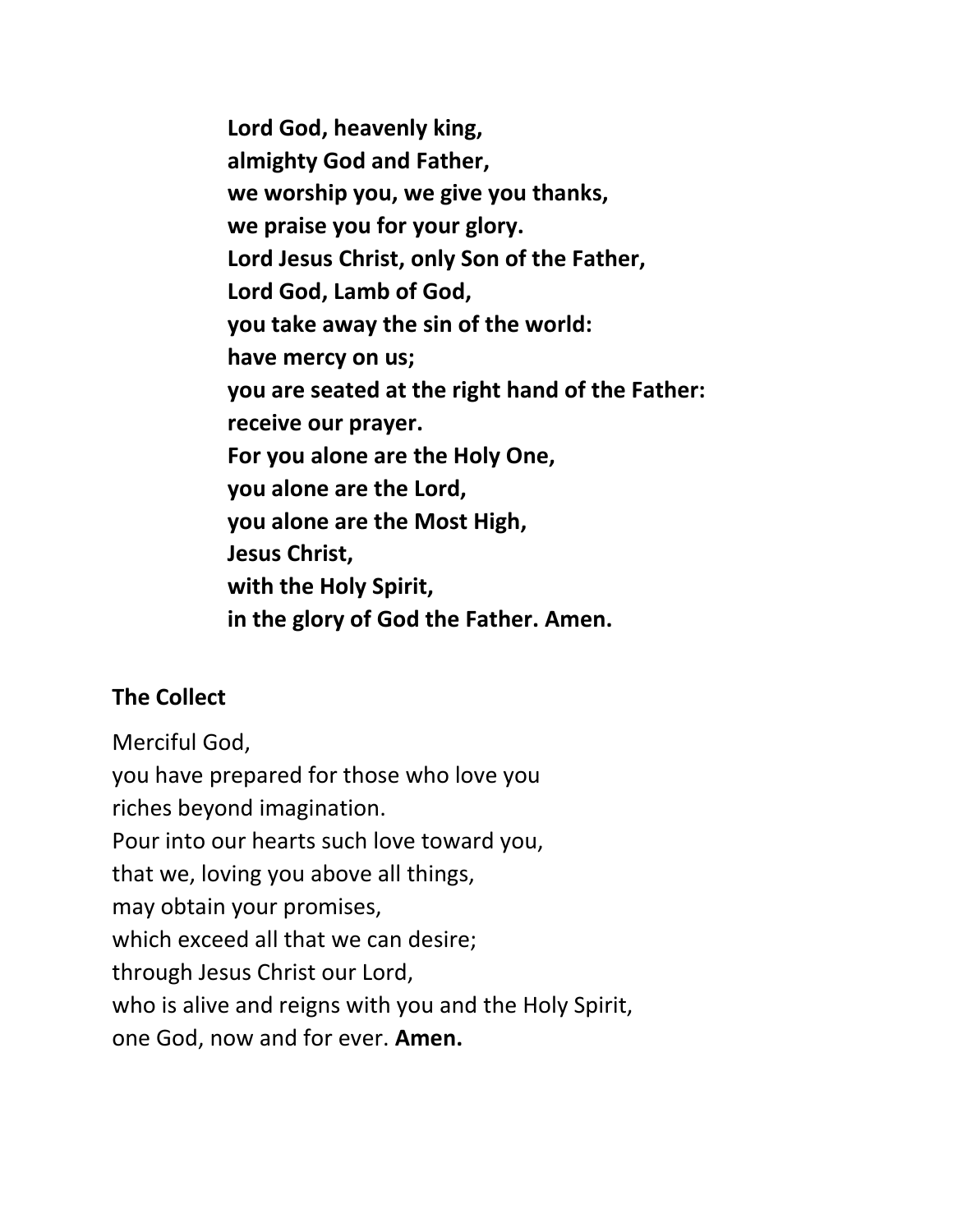**Lord God, heavenly king, almighty God and Father, we worship you, we give you thanks, we praise you for your glory. Lord Jesus Christ, only Son of the Father, Lord God, Lamb of God, you take away the sin of the world: have mercy on us; you are seated at the right hand of the Father: receive our prayer. For you alone are the Holy One, you alone are the Lord, you alone are the Most High, Jesus Christ, with the Holy Spirit, in the glory of God the Father. Amen.**

### **The Collect**

Merciful God,

you have prepared for those who love you riches beyond imagination. Pour into our hearts such love toward you, that we, loving you above all things, may obtain your promises, which exceed all that we can desire; through Jesus Christ our Lord, who is alive and reigns with you and the Holy Spirit, one God, now and for ever. **Amen.**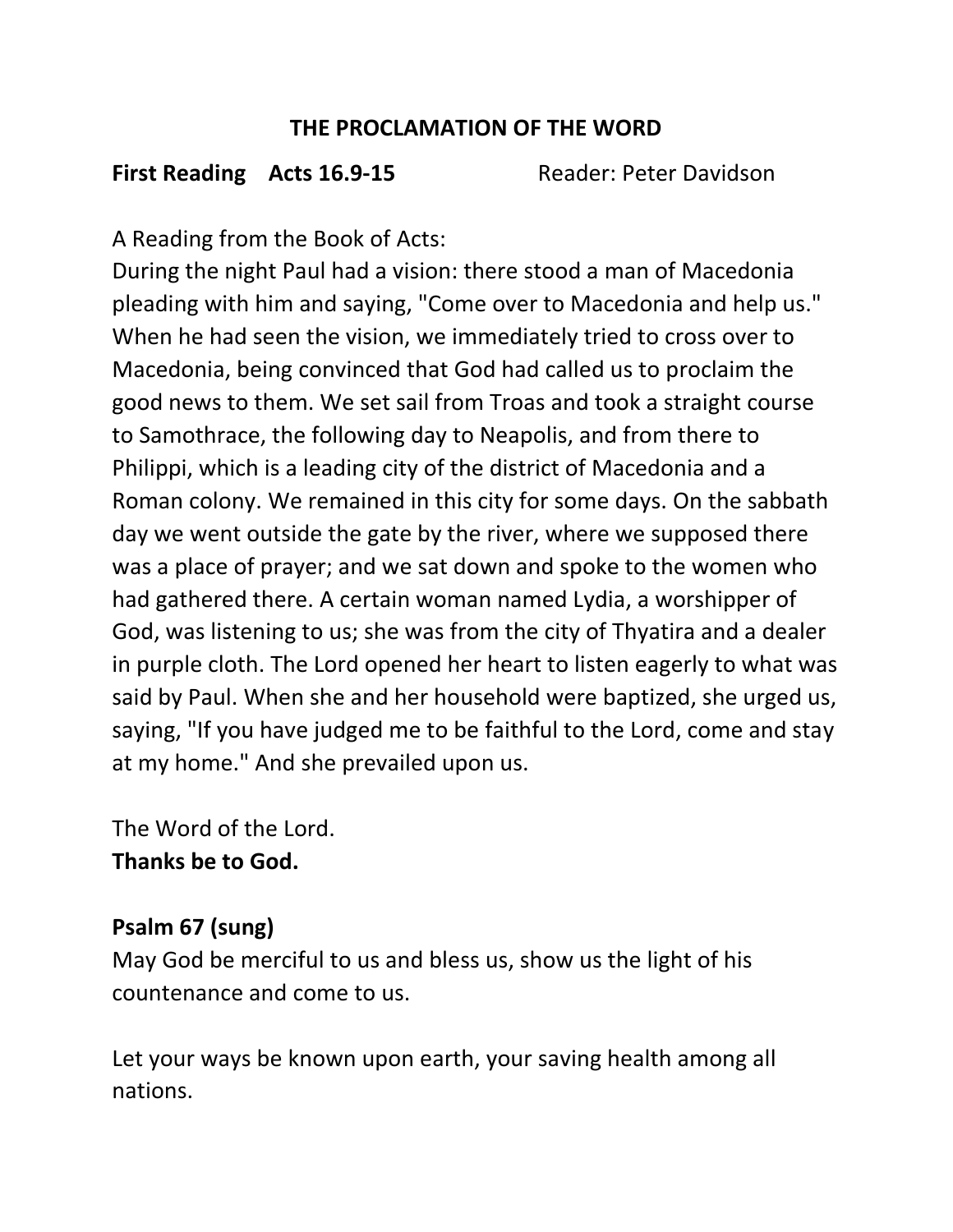#### **THE PROCLAMATION OF THE WORD**

#### **First Reading Acts 16.9-15** Reader: Peter Davidson

A Reading from the Book of Acts:

During the night Paul had a vision: there stood a man of Macedonia pleading with him and saying, "Come over to Macedonia and help us." When he had seen the vision, we immediately tried to cross over to Macedonia, being convinced that God had called us to proclaim the good news to them. We set sail from Troas and took a straight course to Samothrace, the following day to Neapolis, and from there to Philippi, which is a leading city of the district of Macedonia and a Roman colony. We remained in this city for some days. On the sabbath day we went outside the gate by the river, where we supposed there was a place of prayer; and we sat down and spoke to the women who had gathered there. A certain woman named Lydia, a worshipper of God, was listening to us; she was from the city of Thyatira and a dealer in purple cloth. The Lord opened her heart to listen eagerly to what was said by Paul. When she and her household were baptized, she urged us, saying, "If you have judged me to be faithful to the Lord, come and stay at my home." And she prevailed upon us.

The Word of the Lord. **Thanks be to God.**

# **Psalm 67 (sung)**

May God be merciful to us and bless us, show us the light of his countenance and come to us.

Let your ways be known upon earth, your saving health among all nations.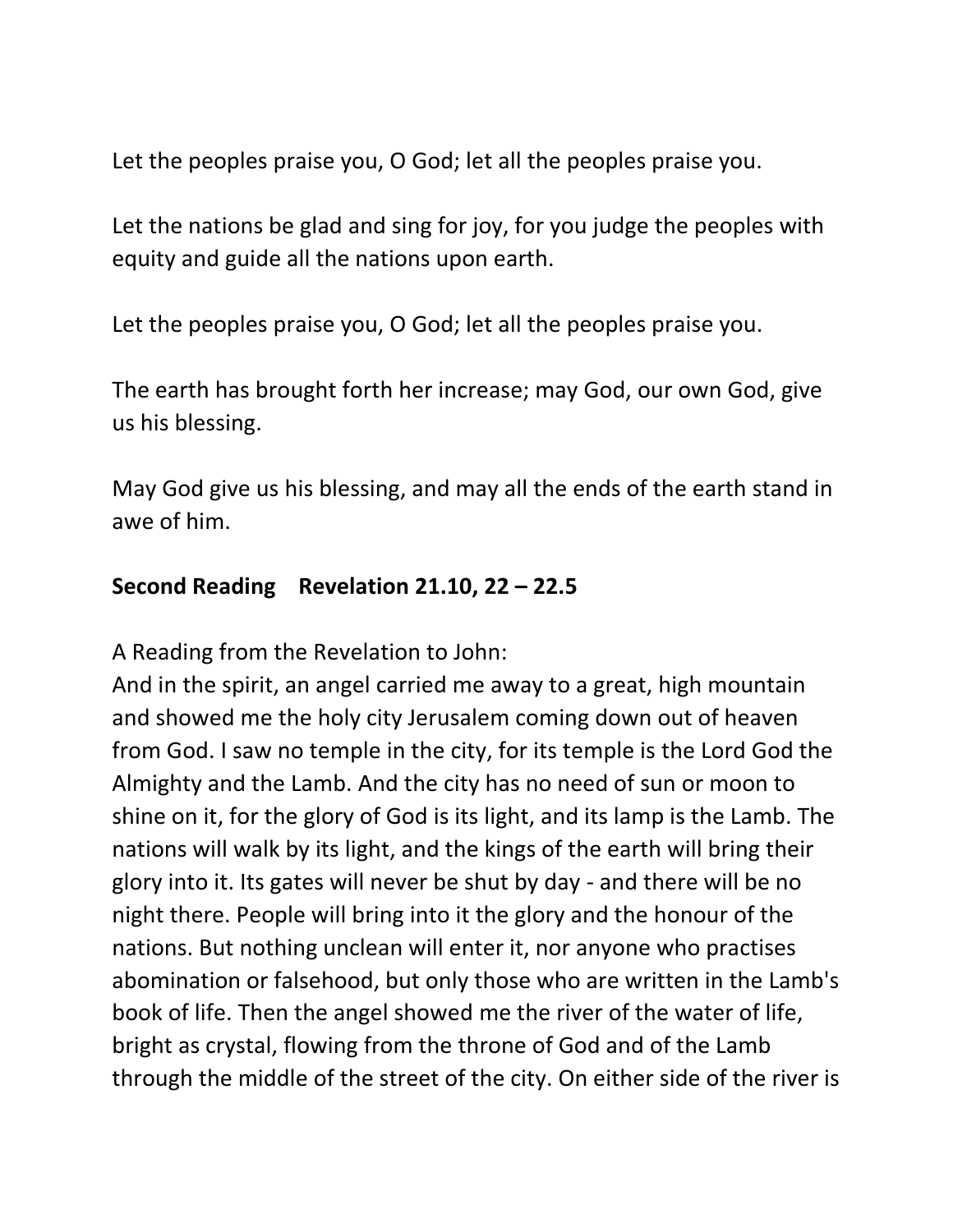Let the peoples praise you, O God; let all the peoples praise you.

Let the nations be glad and sing for joy, for you judge the peoples with equity and guide all the nations upon earth.

Let the peoples praise you, O God; let all the peoples praise you.

The earth has brought forth her increase; may God, our own God, give us his blessing.

May God give us his blessing, and may all the ends of the earth stand in awe of him.

## **Second Reading Revelation 21.10, 22 – 22.5**

A Reading from the Revelation to John:

And in the spirit, an angel carried me away to a great, high mountain and showed me the holy city Jerusalem coming down out of heaven from God. I saw no temple in the city, for its temple is the Lord God the Almighty and the Lamb. And the city has no need of sun or moon to shine on it, for the glory of God is its light, and its lamp is the Lamb. The nations will walk by its light, and the kings of the earth will bring their glory into it. Its gates will never be shut by day - and there will be no night there. People will bring into it the glory and the honour of the nations. But nothing unclean will enter it, nor anyone who practises abomination or falsehood, but only those who are written in the Lamb's book of life. Then the angel showed me the river of the water of life, bright as crystal, flowing from the throne of God and of the Lamb through the middle of the street of the city. On either side of the river is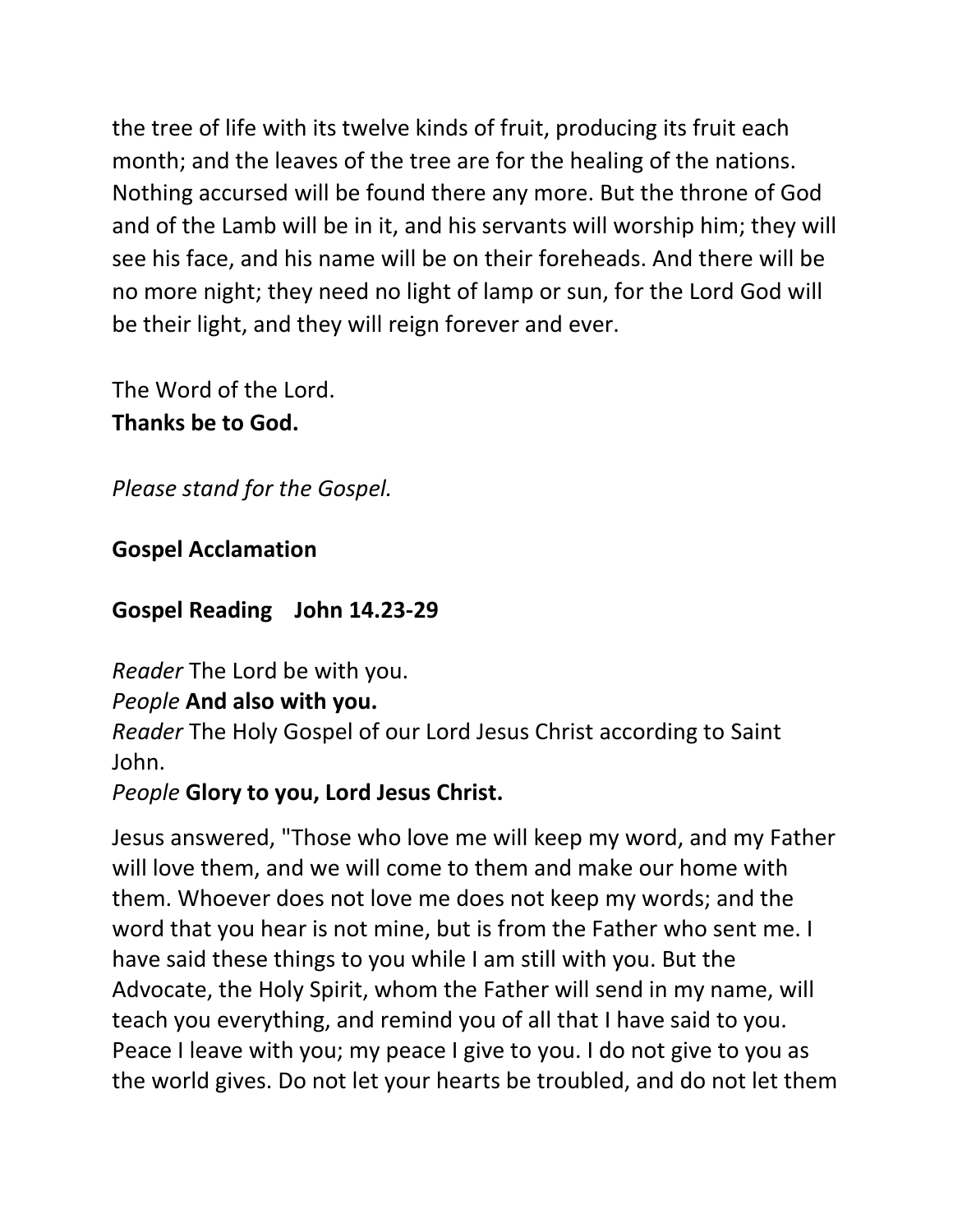the tree of life with its twelve kinds of fruit, producing its fruit each month; and the leaves of the tree are for the healing of the nations. Nothing accursed will be found there any more. But the throne of God and of the Lamb will be in it, and his servants will worship him; they will see his face, and his name will be on their foreheads. And there will be no more night; they need no light of lamp or sun, for the Lord God will be their light, and they will reign forever and ever.

The Word of the Lord. **Thanks be to God.**

*Please stand for the Gospel.* 

# **Gospel Acclamation**

# **Gospel Reading John 14.23-29**

*Reader* The Lord be with you.

# *People* **And also with you.**

*Reader* The Holy Gospel of our Lord Jesus Christ according to Saint John.

# *People* **Glory to you, Lord Jesus Christ.**

Jesus answered, "Those who love me will keep my word, and my Father will love them, and we will come to them and make our home with them. Whoever does not love me does not keep my words; and the word that you hear is not mine, but is from the Father who sent me. I have said these things to you while I am still with you. But the Advocate, the Holy Spirit, whom the Father will send in my name, will teach you everything, and remind you of all that I have said to you. Peace I leave with you; my peace I give to you. I do not give to you as the world gives. Do not let your hearts be troubled, and do not let them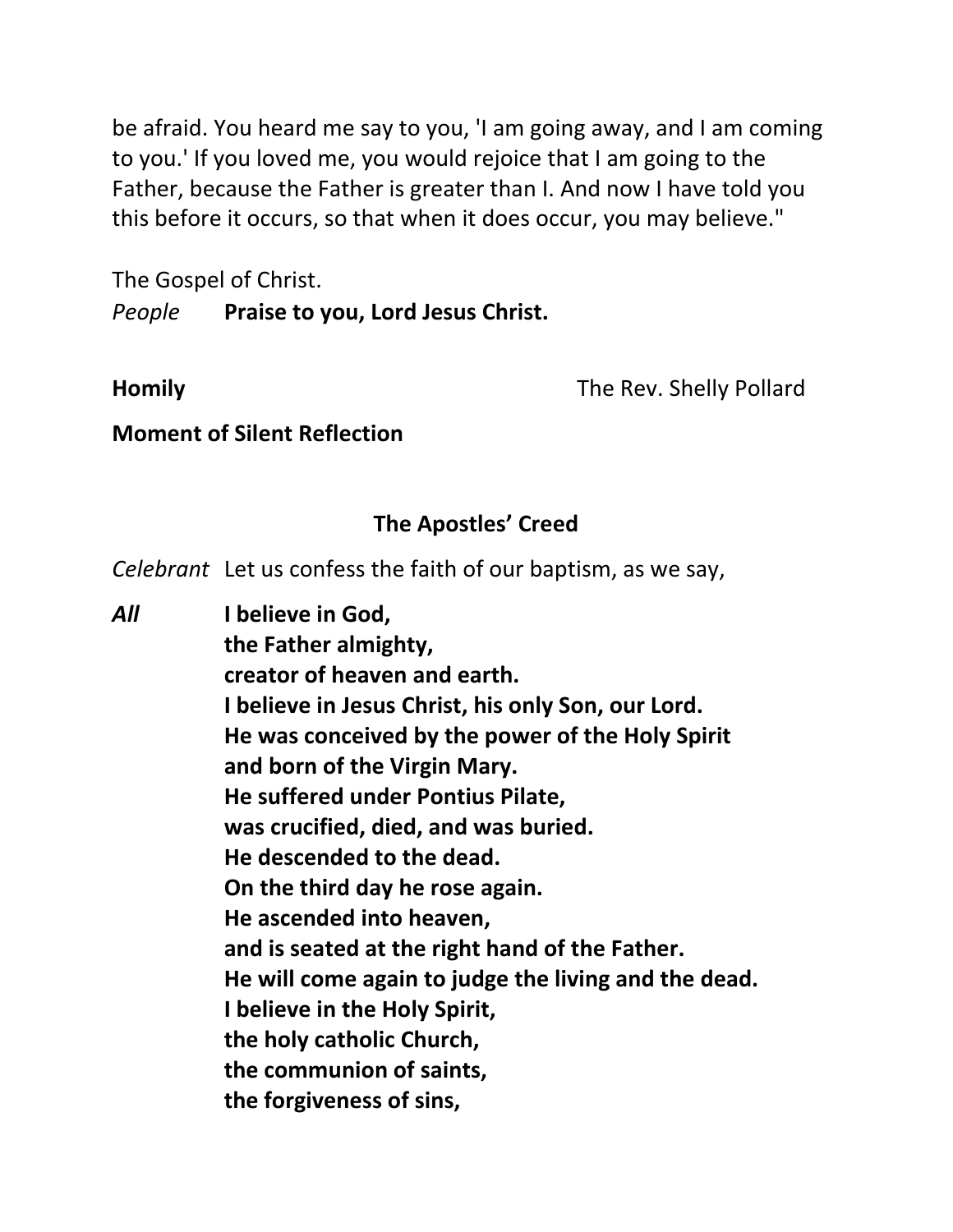be afraid. You heard me say to you, 'I am going away, and I am coming to you.' If you loved me, you would rejoice that I am going to the Father, because the Father is greater than I. And now I have told you this before it occurs, so that when it does occur, you may believe."

The Gospel of Christ. *People* **Praise to you, Lord Jesus Christ.**

**Homily** The Rev. Shelly Pollard

**Moment of Silent Reflection**

## **The Apostles' Creed**

*Celebrant* Let us confess the faith of our baptism, as we say,

*All* **I believe in God, the Father almighty, creator of heaven and earth. I believe in Jesus Christ, his only Son, our Lord. He was conceived by the power of the Holy Spirit and born of the Virgin Mary. He suffered under Pontius Pilate, was crucified, died, and was buried. He descended to the dead. On the third day he rose again. He ascended into heaven, and is seated at the right hand of the Father. He will come again to judge the living and the dead. I believe in the Holy Spirit, the holy catholic Church, the communion of saints, the forgiveness of sins,**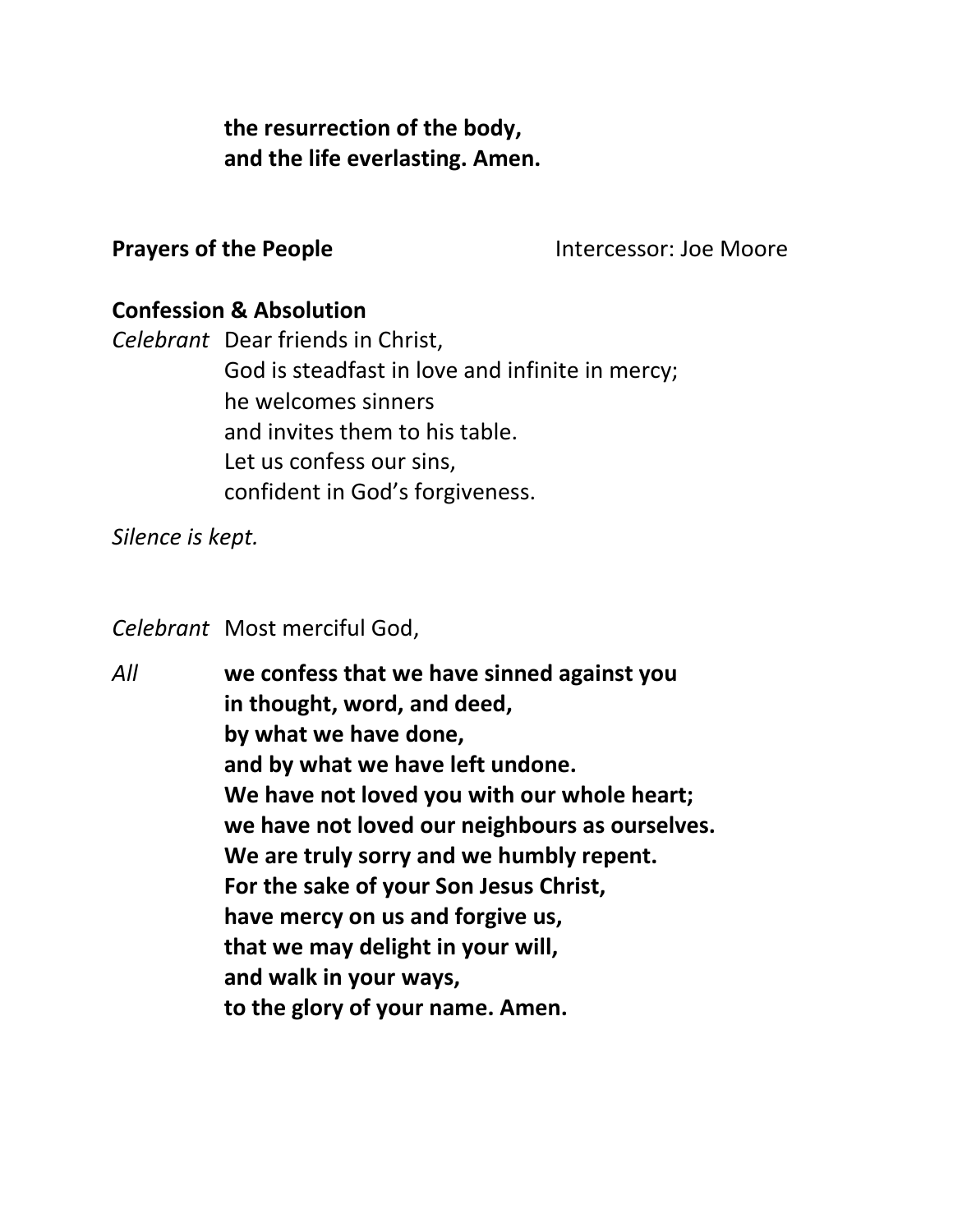**the resurrection of the body, and the life everlasting. Amen.**

**Prayers of the People Intercessor: Joe Moore** 

#### **Confession & Absolution**

*Celebrant* Dear friends in Christ, God is steadfast in love and infinite in mercy; he welcomes sinners and invites them to his table. Let us confess our sins, confident in God's forgiveness.

*Silence is kept.* 

*Celebrant* Most merciful God,

*All* **we confess that we have sinned against you in thought, word, and deed, by what we have done, and by what we have left undone. We have not loved you with our whole heart; we have not loved our neighbours as ourselves. We are truly sorry and we humbly repent. For the sake of your Son Jesus Christ, have mercy on us and forgive us, that we may delight in your will, and walk in your ways, to the glory of your name. Amen.**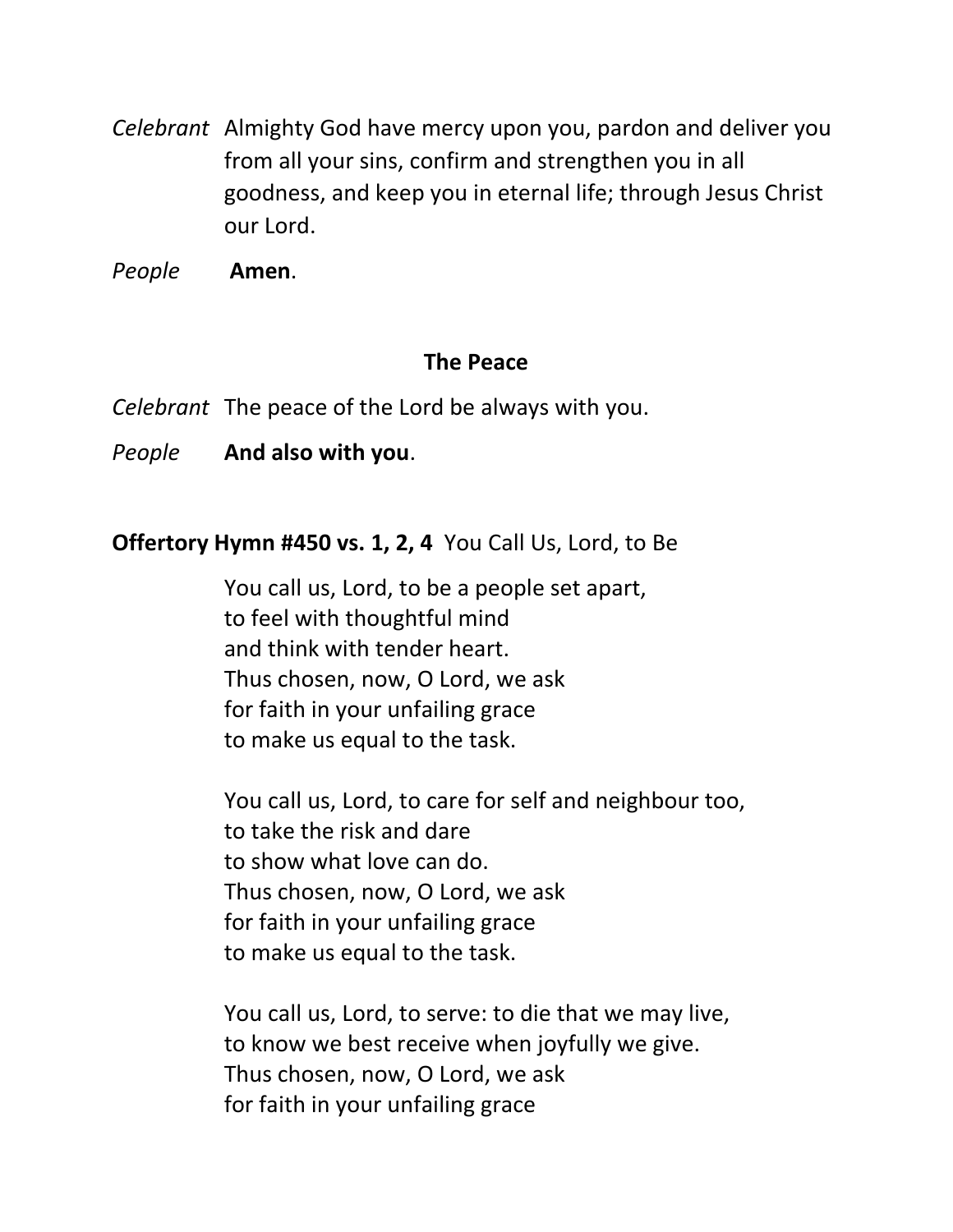*Celebrant* Almighty God have mercy upon you, pardon and deliver you from all your sins, confirm and strengthen you in all goodness, and keep you in eternal life; through Jesus Christ our Lord.

*People* **Amen**.

#### **The Peace**

*Celebrant* The peace of the Lord be always with you.

*People* **And also with you**.

#### **Offertory Hymn #450 vs. 1, 2, 4** You Call Us, Lord, to Be

You call us, Lord, to be a people set apart, to feel with thoughtful mind and think with tender heart. Thus chosen, now, O Lord, we ask for faith in your unfailing grace to make us equal to the task.

You call us, Lord, to care for self and neighbour too, to take the risk and dare to show what love can do. Thus chosen, now, O Lord, we ask for faith in your unfailing grace to make us equal to the task.

You call us, Lord, to serve: to die that we may live, to know we best receive when joyfully we give. Thus chosen, now, O Lord, we ask for faith in your unfailing grace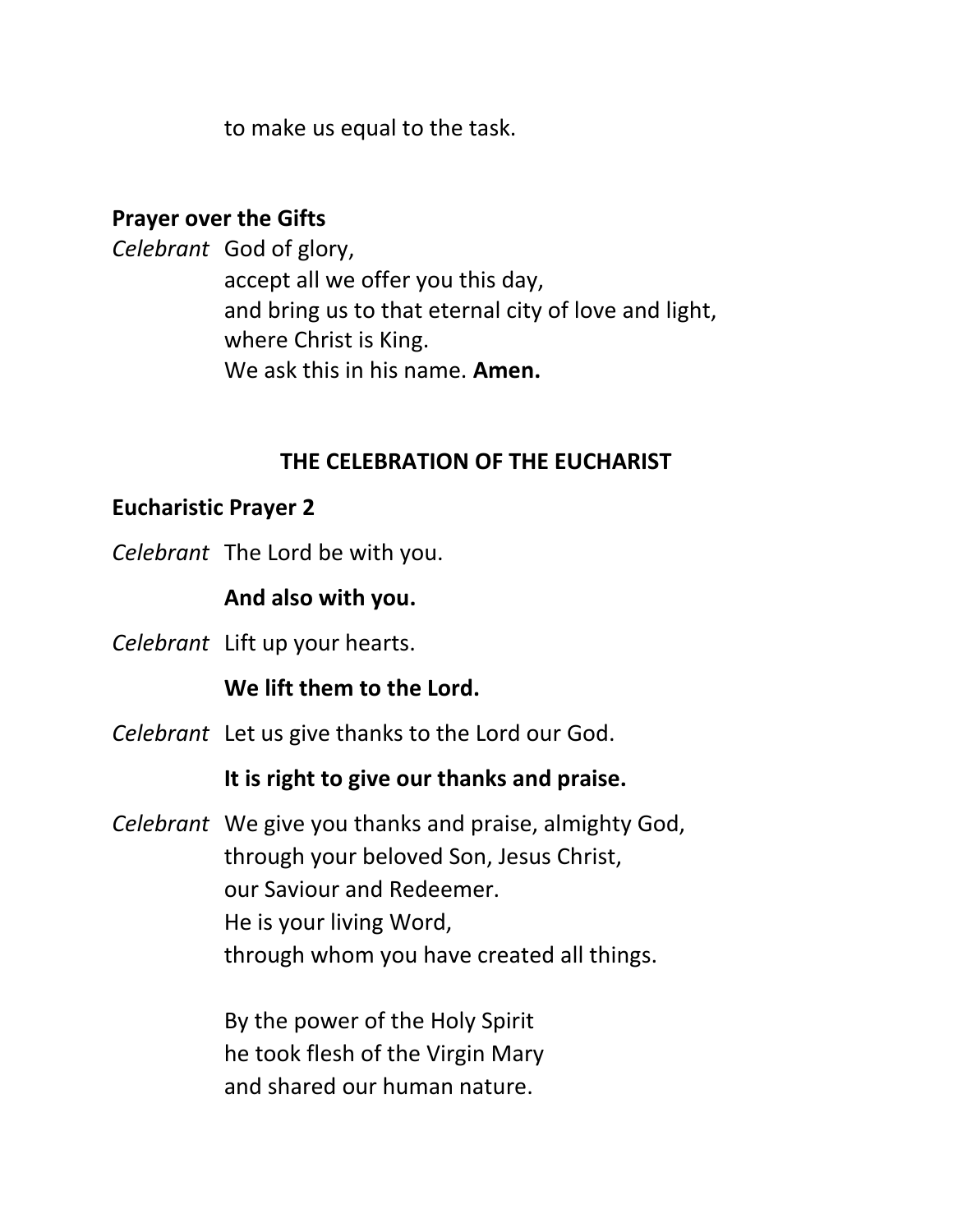to make us equal to the task.

#### **Prayer over the Gifts**

*Celebrant* God of glory, accept all we offer you this day, and bring us to that eternal city of love and light, where Christ is King. We ask this in his name. **Amen.**

#### **THE CELEBRATION OF THE EUCHARIST**

#### **Eucharistic Prayer 2**

*Celebrant* The Lord be with you.

#### **And also with you.**

*Celebrant* Lift up your hearts.

#### **We lift them to the Lord.**

*Celebrant* Let us give thanks to the Lord our God.

#### **It is right to give our thanks and praise.**

*Celebrant* We give you thanks and praise, almighty God, through your beloved Son, Jesus Christ, our Saviour and Redeemer. He is your living Word, through whom you have created all things.

> By the power of the Holy Spirit he took flesh of the Virgin Mary and shared our human nature.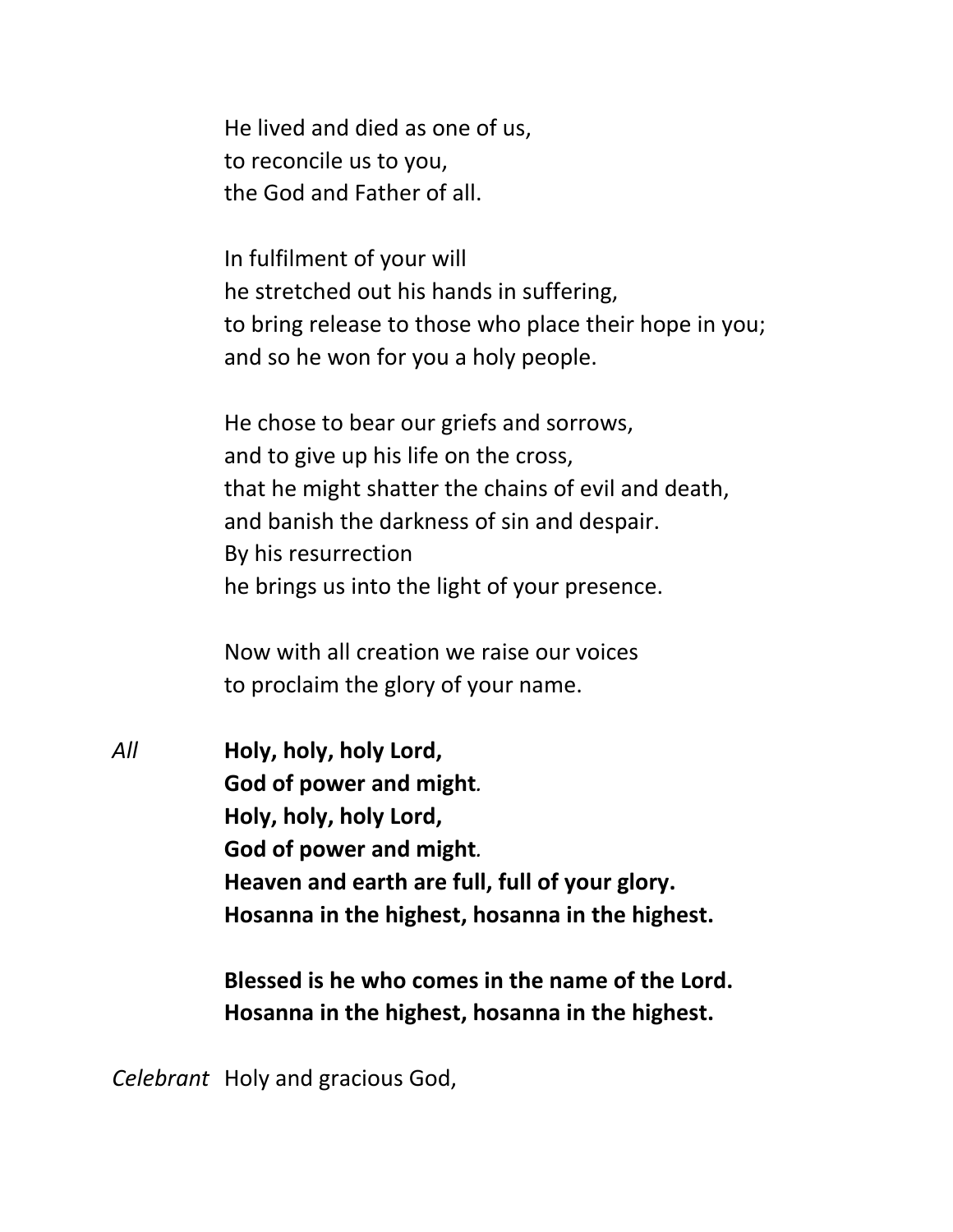He lived and died as one of us, to reconcile us to you, the God and Father of all.

In fulfilment of your will he stretched out his hands in suffering, to bring release to those who place their hope in you; and so he won for you a holy people.

He chose to bear our griefs and sorrows, and to give up his life on the cross, that he might shatter the chains of evil and death, and banish the darkness of sin and despair. By his resurrection he brings us into the light of your presence.

Now with all creation we raise our voices to proclaim the glory of your name.

*All* **Holy, holy, holy Lord, God of power and might***.* **Holy, holy, holy Lord, God of power and might***.* **Heaven and earth are full, full of your glory. Hosanna in the highest, hosanna in the highest.**

> **Blessed is he who comes in the name of the Lord. Hosanna in the highest, hosanna in the highest.**

*Celebrant* Holy and gracious God,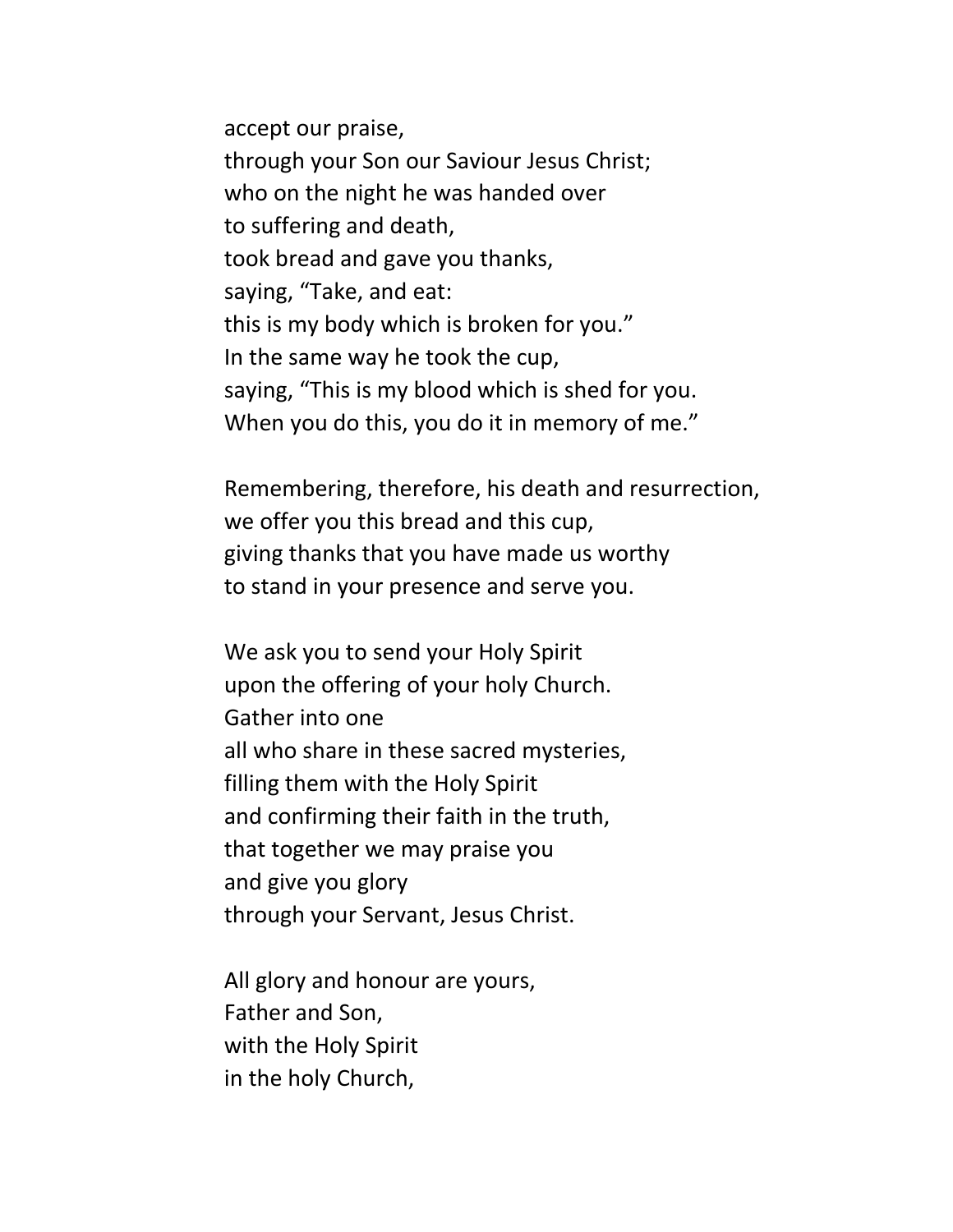accept our praise, through your Son our Saviour Jesus Christ; who on the night he was handed over to suffering and death, took bread and gave you thanks, saying, "Take, and eat: this is my body which is broken for you." In the same way he took the cup, saying, "This is my blood which is shed for you. When you do this, you do it in memory of me."

Remembering, therefore, his death and resurrection, we offer you this bread and this cup, giving thanks that you have made us worthy to stand in your presence and serve you.

We ask you to send your Holy Spirit upon the offering of your holy Church. Gather into one all who share in these sacred mysteries, filling them with the Holy Spirit and confirming their faith in the truth, that together we may praise you and give you glory through your Servant, Jesus Christ.

All glory and honour are yours, Father and Son, with the Holy Spirit in the holy Church,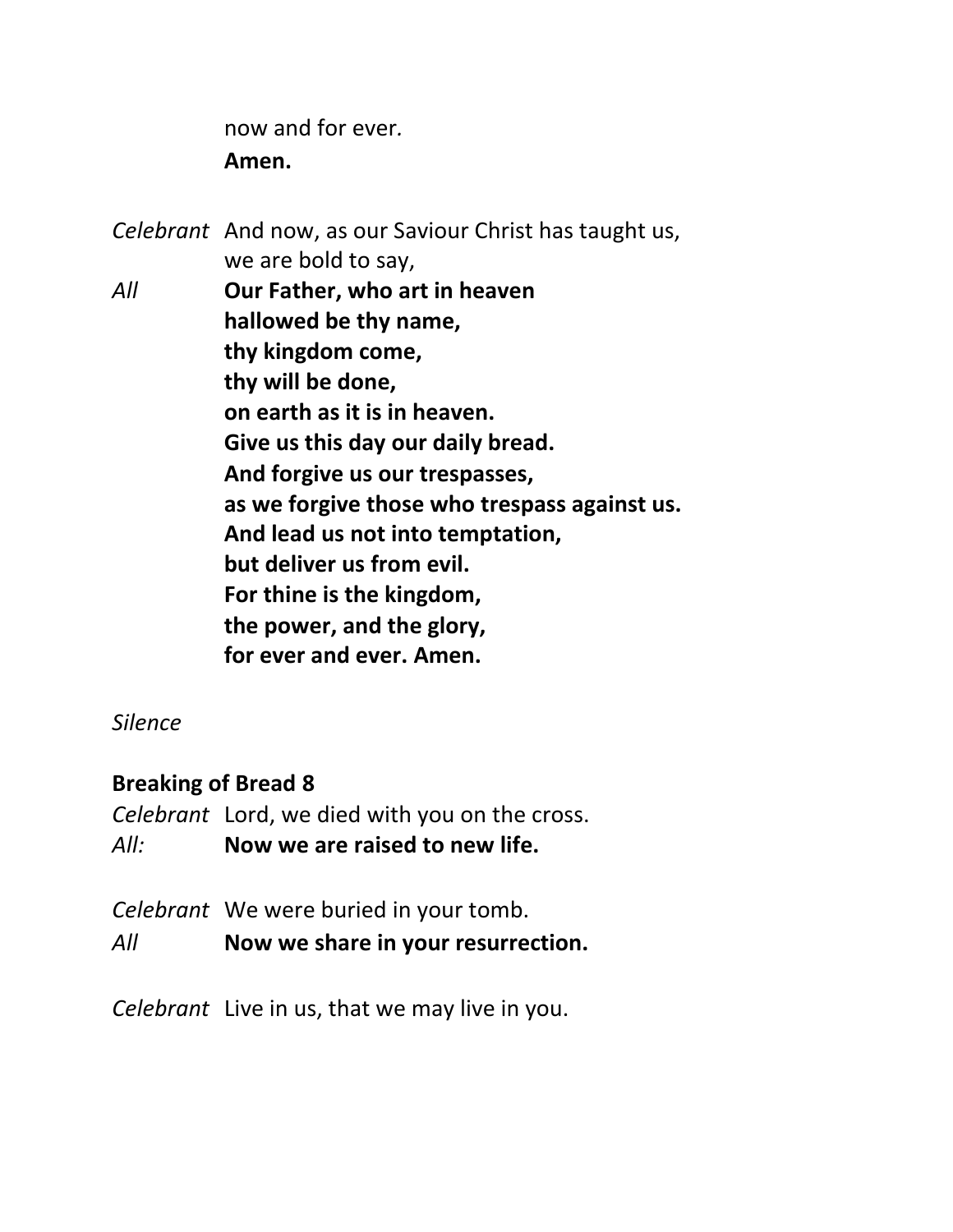now and for ever*.* **Amen.**

*Celebrant* And now, as our Saviour Christ has taught us, we are bold to say, *All* **Our Father, who art in heaven hallowed be thy name, thy kingdom come, thy will be done, on earth as it is in heaven. Give us this day our daily bread. And forgive us our trespasses, as we forgive those who trespass against us. And lead us not into temptation, but deliver us from evil. For thine is the kingdom, the power, and the glory, for ever and ever. Amen.** 

*Silence* 

### **Breaking of Bread 8**

*Celebrant* Lord, we died with you on the cross. *All:* **Now we are raised to new life.**

*Celebrant* We were buried in your tomb.

*All* **Now we share in your resurrection.**

*Celebrant* Live in us, that we may live in you.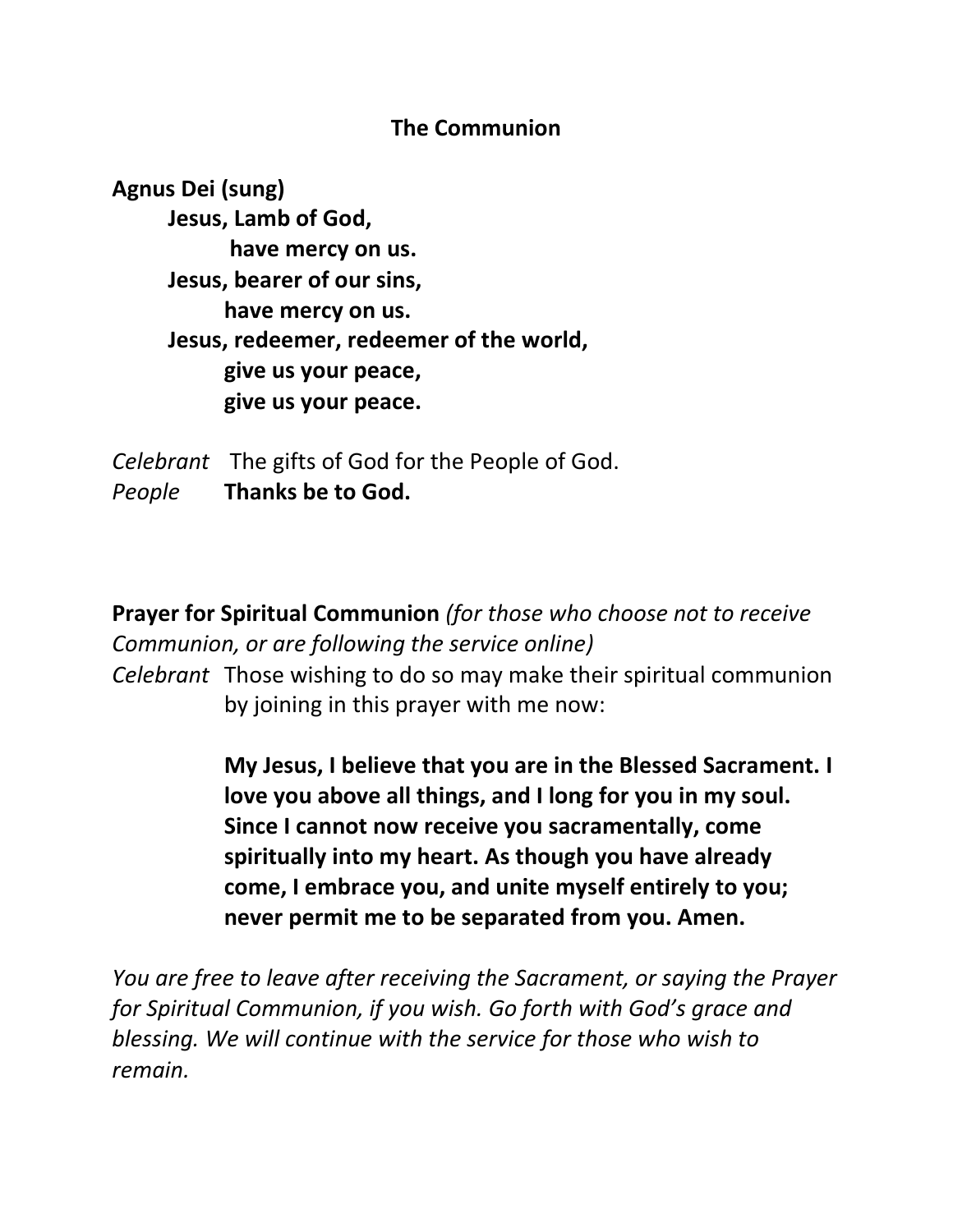#### **The Communion**

**Agnus Dei (sung) Jesus, Lamb of God, have mercy on us. Jesus, bearer of our sins, have mercy on us. Jesus, redeemer, redeemer of the world, give us your peace, give us your peace.** 

*Celebrant* The gifts of God for the People of God. *People* **Thanks be to God.**

**Prayer for Spiritual Communion** *(for those who choose not to receive Communion, or are following the service online)*

*Celebrant* Those wishing to do so may make their spiritual communion by joining in this prayer with me now:

> **My Jesus, I believe that you are in the Blessed Sacrament. I love you above all things, and I long for you in my soul. Since I cannot now receive you sacramentally, come spiritually into my heart. As though you have already come, I embrace you, and unite myself entirely to you; never permit me to be separated from you. Amen.**

*You are free to leave after receiving the Sacrament, or saying the Prayer for Spiritual Communion, if you wish. Go forth with God's grace and blessing. We will continue with the service for those who wish to remain.*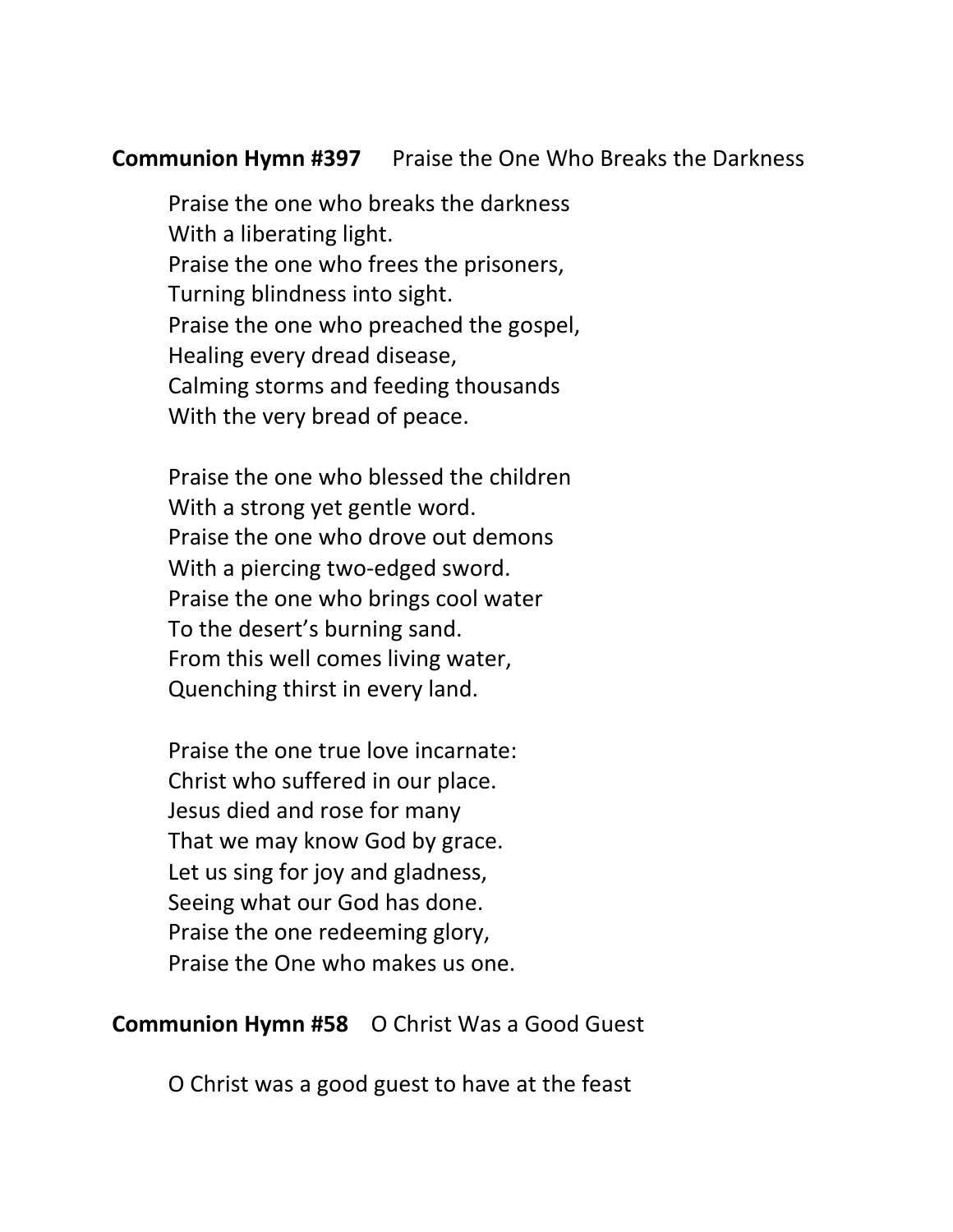#### **Communion Hymn #397** Praise the One Who Breaks the Darkness

Praise the one who breaks the darkness With a liberating light. Praise the one who frees the prisoners, Turning blindness into sight. Praise the one who preached the gospel, Healing every dread disease, Calming storms and feeding thousands With the very bread of peace.

Praise the one who blessed the children With a strong yet gentle word. Praise the one who drove out demons With a piercing two-edged sword. Praise the one who brings cool water To the desert's burning sand. From this well comes living water, Quenching thirst in every land.

Praise the one true love incarnate: Christ who suffered in our place. Jesus died and rose for many That we may know God by grace. Let us sing for joy and gladness, Seeing what our God has done. Praise the one redeeming glory, Praise the One who makes us one.

#### **Communion Hymn #58** O Christ Was a Good Guest

O Christ was a good guest to have at the feast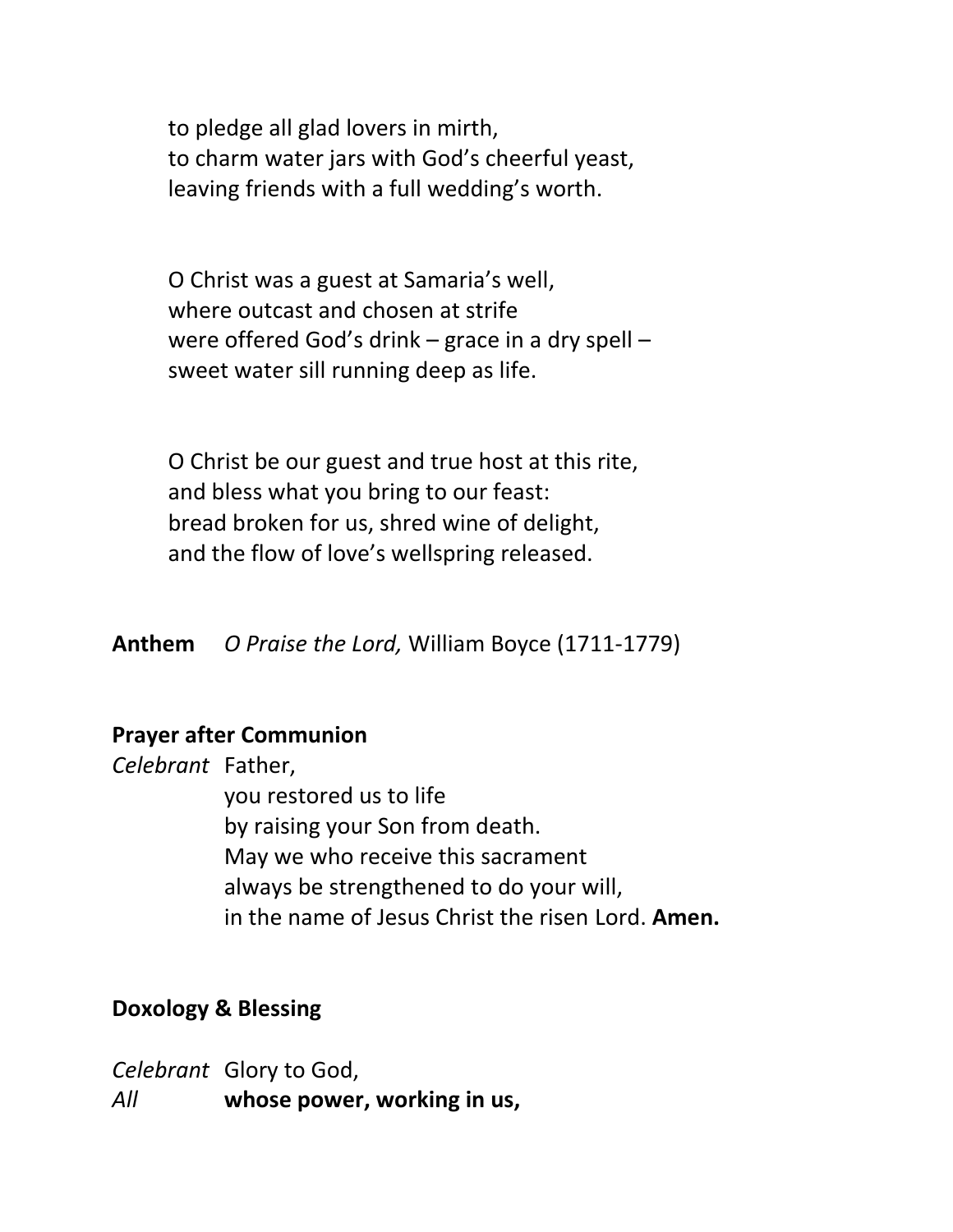to pledge all glad lovers in mirth, to charm water jars with God's cheerful yeast, leaving friends with a full wedding's worth.

O Christ was a guest at Samaria's well, where outcast and chosen at strife were offered God's drink – grace in a dry spell – sweet water sill running deep as life.

O Christ be our guest and true host at this rite, and bless what you bring to our feast: bread broken for us, shred wine of delight, and the flow of love's wellspring released.

**Anthem** *O Praise the Lord,* William Boyce (1711-1779)

#### **Prayer after Communion**

*Celebrant* Father,

you restored us to life by raising your Son from death. May we who receive this sacrament always be strengthened to do your will, in the name of Jesus Christ the risen Lord. **Amen.**

### **Doxology & Blessing**

*Celebrant* Glory to God,

*All* **whose power, working in us,**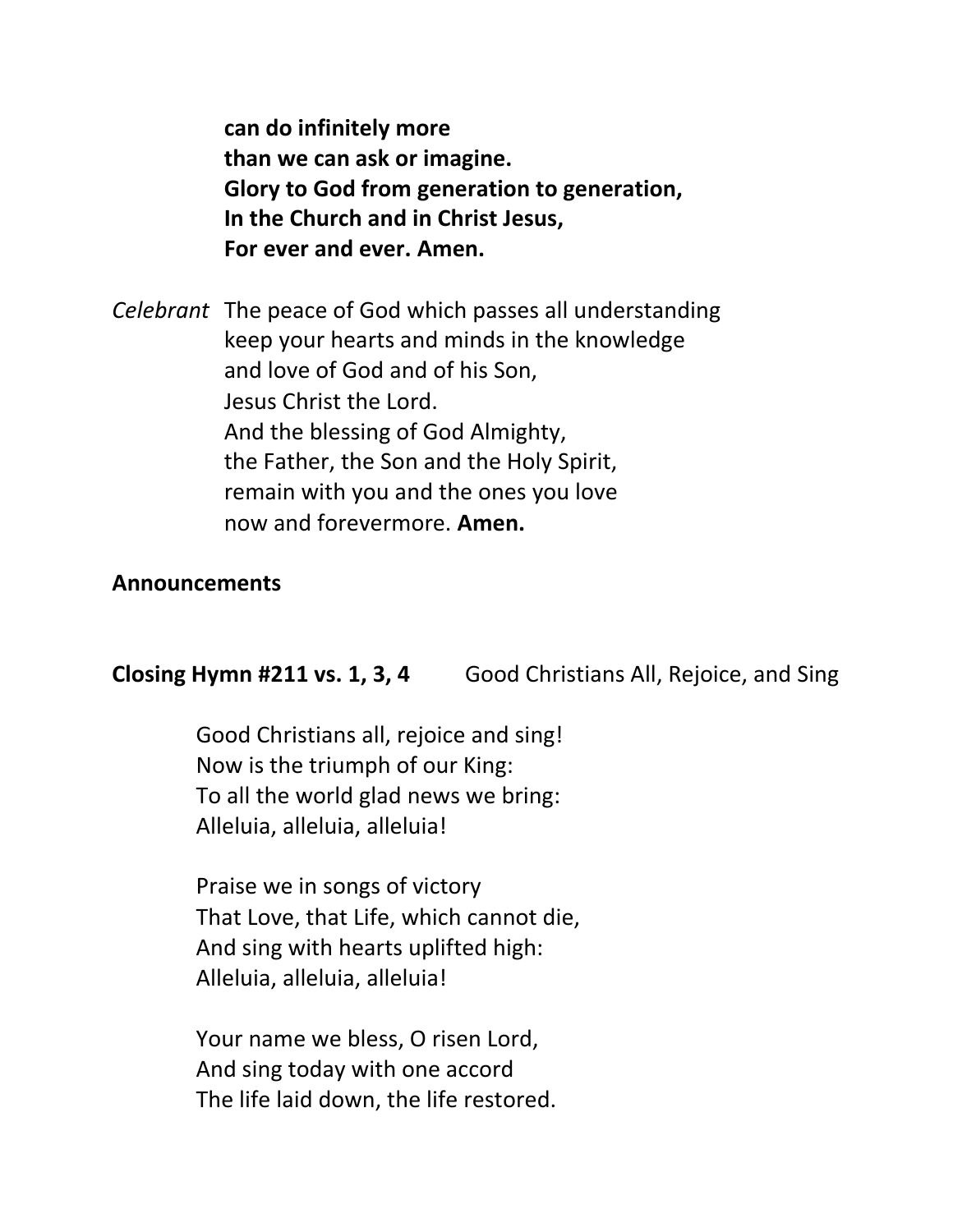**can do infinitely more than we can ask or imagine. Glory to God from generation to generation, In the Church and in Christ Jesus, For ever and ever. Amen.**

*Celebrant* The peace of God which passes all understanding keep your hearts and minds in the knowledge and love of God and of his Son, Jesus Christ the Lord. And the blessing of God Almighty, the Father, the Son and the Holy Spirit, remain with you and the ones you love now and forevermore. **Amen.**

#### **Announcements**

**Closing Hymn #211 vs. 1, 3, 4** Good Christians All, Rejoice, and Sing

Good Christians all, rejoice and sing! Now is the triumph of our King: To all the world glad news we bring: Alleluia, alleluia, alleluia!

Praise we in songs of victory That Love, that Life, which cannot die, And sing with hearts uplifted high: Alleluia, alleluia, alleluia!

Your name we bless, O risen Lord, And sing today with one accord The life laid down, the life restored.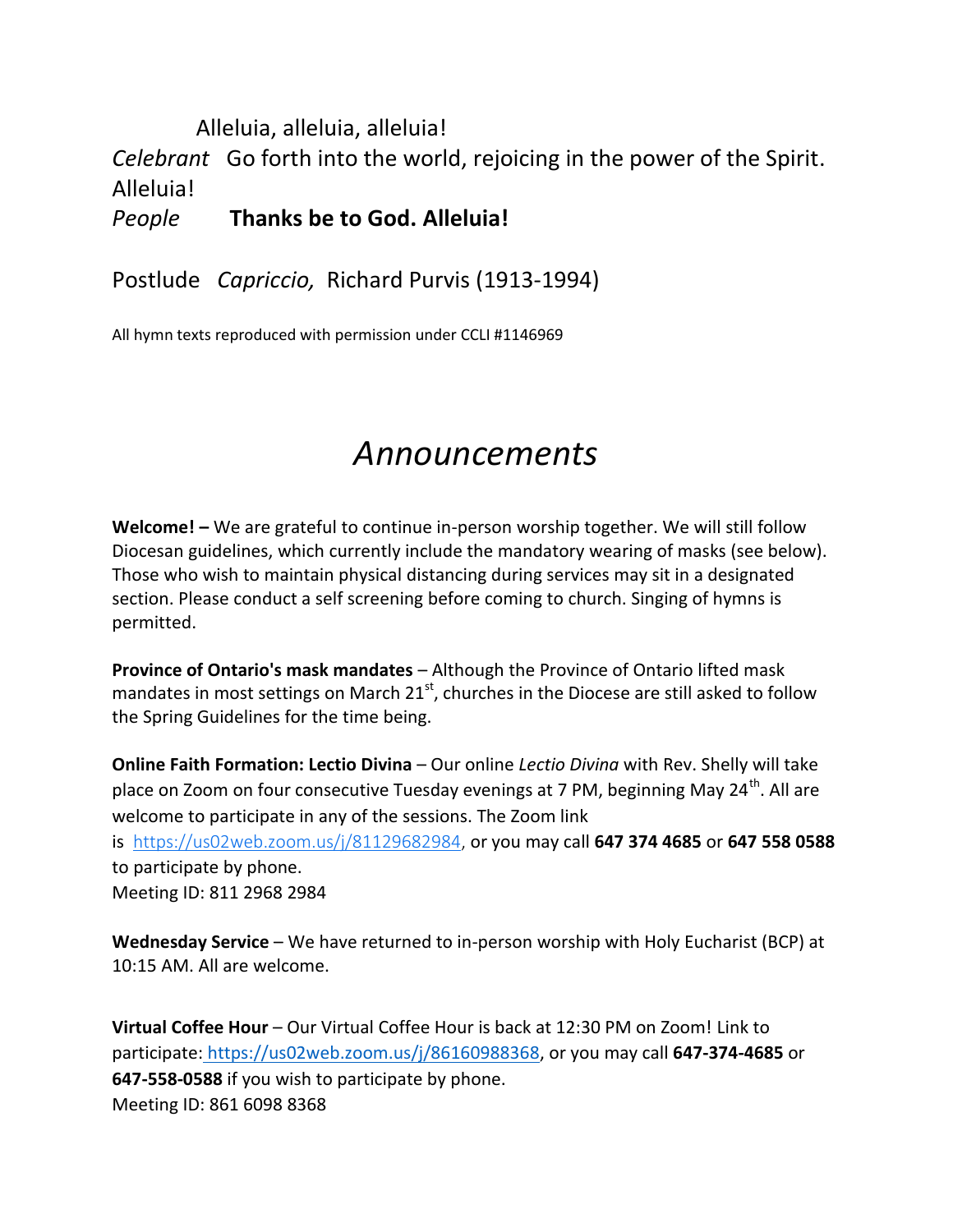Alleluia, alleluia, alleluia!

*Celebrant* Go forth into the world, rejoicing in the power of the Spirit. Alleluia!

*People* **Thanks be to God. Alleluia!**

Postlude *Capriccio,* Richard Purvis (1913-1994)

All hymn texts reproduced with permission under CCLI #1146969

# *Announcements*

**Welcome! –** We are grateful to continue in-person worship together. We will still follow Diocesan guidelines, which currently include the mandatory wearing of masks (see below). Those who wish to maintain physical distancing during services may sit in a designated section. Please conduct a self screening before coming to church. Singing of hymns is permitted.

**Province of Ontario's mask mandates** – Although the Province of Ontario lifted mask mandates in most settings on March  $21<sup>st</sup>$ , churches in the Diocese are still asked to follow the Spring Guidelines for the time being.

**Online Faith Formation: Lectio Divina** – Our online *Lectio Divina* with Rev. Shelly will take place on Zoom on four consecutive Tuesday evenings at 7 PM, beginning May 24<sup>th</sup>. All are welcome to participate in any of the sessions. The Zoom link is [https://us02web.zoom.us/j/81129682984,](https://us02web.zoom.us/j/81129682984) or you may call **647 374 4685** or **647 558 0588** to participate by phone. Meeting ID: 811 2968 2984

**Wednesday Service** – We have returned to in-person worship with Holy Eucharist (BCP) at 10:15 AM. All are welcome.

**Virtual Coffee Hour** – Our Virtual Coffee Hour is back at 12:30 PM on Zoom! Link to participate: [https://us02web.zoom.us/j/86160988368,](about:blank) or you may call **647-374-4685** or **647-558-0588** if you wish to participate by phone. Meeting ID: 861 6098 8368